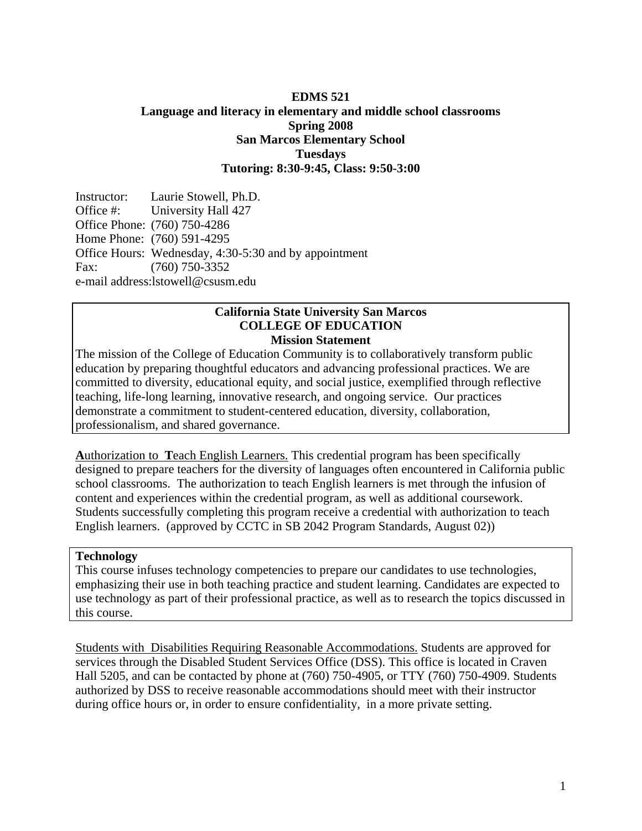### **EDMS 521 Language and literacy in elementary and middle school classrooms Spring 2008 San Marcos Elementary School Tuesdays Tutoring: 8:30-9:45, Class: 9:50-3:00**

Instructor: Laurie Stowell, Ph.D. Office #: University Hall 427 Office Phone: (760) 750-4286 Home Phone: (760) 591-4295 Office Hours: Wednesday, 4:30-5:30 and by appointment Fax: (760) 750-3352 e-mail address:lstowell@csusm.edu

#### **California State University San Marcos COLLEGE OF EDUCATION Mission Statement**

The mission of the College of Education Community is to collaboratively transform public education by preparing thoughtful educators and advancing professional practices. We are committed to diversity, educational equity, and social justice, exemplified through reflective teaching, life-long learning, innovative research, and ongoing service. Our practices demonstrate a commitment to student-centered education, diversity, collaboration, professionalism, and shared governance.

**A**uthorization to **T**each English Learners. This credential program has been specifically designed to prepare teachers for the diversity of languages often encountered in California public school classrooms. The authorization to teach English learners is met through the infusion of content and experiences within the credential program, as well as additional coursework. Students successfully completing this program receive a credential with authorization to teach English learners. (approved by CCTC in SB 2042 Program Standards, August 02))

#### **Technology**

This course infuses technology competencies to prepare our candidates to use technologies, emphasizing their use in both teaching practice and student learning. Candidates are expected to use technology as part of their professional practice, as well as to research the topics discussed in this course.

Students with Disabilities Requiring Reasonable Accommodations. Students are approved for services through the Disabled Student Services Office (DSS). This office is located in Craven Hall 5205, and can be contacted by phone at (760) 750-4905, or TTY (760) 750-4909. Students authorized by DSS to receive reasonable accommodations should meet with their instructor during office hours or, in order to ensure confidentiality, in a more private setting.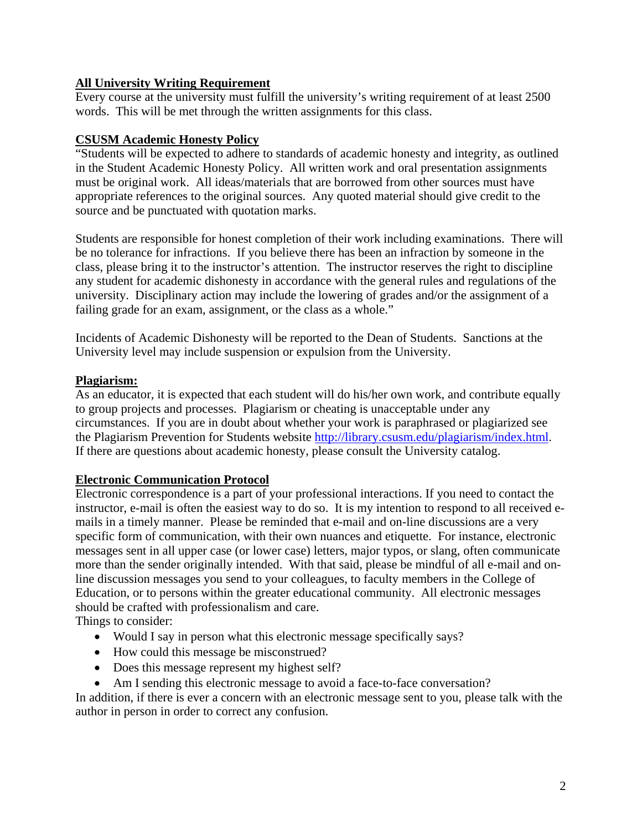## **All University Writing Requirement**

Every course at the university must fulfill the university's writing requirement of at least 2500 words. This will be met through the written assignments for this class.

### **CSUSM Academic Honesty Policy**

"Students will be expected to adhere to standards of academic honesty and integrity, as outlined in the Student Academic Honesty Policy. All written work and oral presentation assignments must be original work. All ideas/materials that are borrowed from other sources must have appropriate references to the original sources. Any quoted material should give credit to the source and be punctuated with quotation marks.

Students are responsible for honest completion of their work including examinations. There will be no tolerance for infractions. If you believe there has been an infraction by someone in the class, please bring it to the instructor's attention. The instructor reserves the right to discipline any student for academic dishonesty in accordance with the general rules and regulations of the university. Disciplinary action may include the lowering of grades and/or the assignment of a failing grade for an exam, assignment, or the class as a whole."

Incidents of Academic Dishonesty will be reported to the Dean of Students. Sanctions at the University level may include suspension or expulsion from the University.

## **Plagiarism:**

As an educator, it is expected that each student will do his/her own work, and contribute equally to group projects and processes. Plagiarism or cheating is unacceptable under any circumstances. If you are in doubt about whether your work is paraphrased or plagiarized see the Plagiarism Prevention for Students website http://library.csusm.edu/plagiarism/index.html. If there are questions about academic honesty, please consult the University catalog.

#### **Electronic Communication Protocol**

Electronic correspondence is a part of your professional interactions. If you need to contact the instructor, e-mail is often the easiest way to do so. It is my intention to respond to all received emails in a timely manner. Please be reminded that e-mail and on-line discussions are a very specific form of communication, with their own nuances and etiquette. For instance, electronic messages sent in all upper case (or lower case) letters, major typos, or slang, often communicate more than the sender originally intended. With that said, please be mindful of all e-mail and online discussion messages you send to your colleagues, to faculty members in the College of Education, or to persons within the greater educational community. All electronic messages should be crafted with professionalism and care.

Things to consider:

- Would I say in person what this electronic message specifically says?
- How could this message be misconstrued?
- Does this message represent my highest self?
- Am I sending this electronic message to avoid a face-to-face conversation?

In addition, if there is ever a concern with an electronic message sent to you, please talk with the author in person in order to correct any confusion.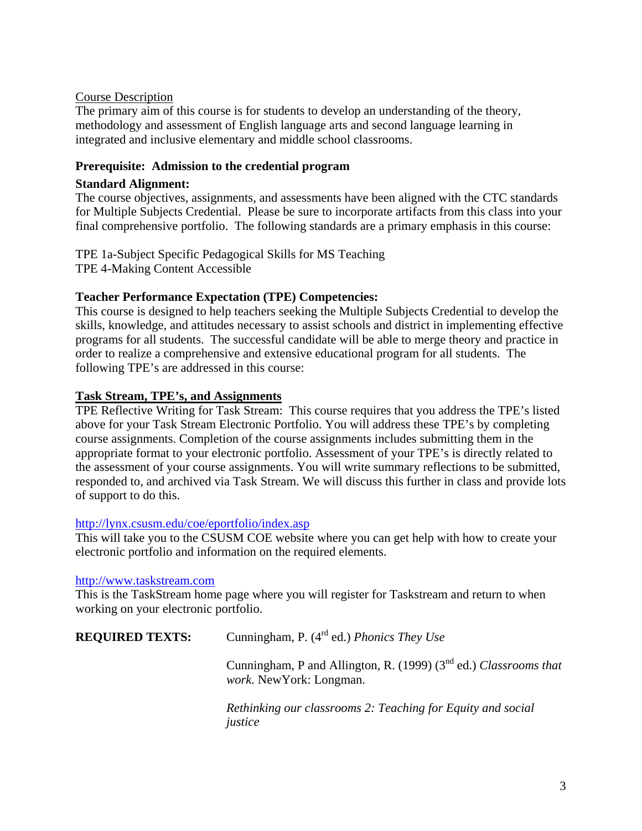## Course Description

The primary aim of this course is for students to develop an understanding of the theory, methodology and assessment of English language arts and second language learning in integrated and inclusive elementary and middle school classrooms.

### **Prerequisite: Admission to the credential program**

## **Standard Alignment:**

The course objectives, assignments, and assessments have been aligned with the CTC standards for Multiple Subjects Credential. Please be sure to incorporate artifacts from this class into your final comprehensive portfolio. The following standards are a primary emphasis in this course:

TPE 1a-Subject Specific Pedagogical Skills for MS Teaching TPE 4-Making Content Accessible

## **Teacher Performance Expectation (TPE) Competencies:**

This course is designed to help teachers seeking the Multiple Subjects Credential to develop the skills, knowledge, and attitudes necessary to assist schools and district in implementing effective programs for all students. The successful candidate will be able to merge theory and practice in order to realize a comprehensive and extensive educational program for all students. The following TPE's are addressed in this course:

## **Task Stream, TPE's, and Assignments**

TPE Reflective Writing for Task Stream: This course requires that you address the TPE's listed above for your Task Stream Electronic Portfolio. You will address these TPE's by completing course assignments. Completion of the course assignments includes submitting them in the appropriate format to your electronic portfolio. Assessment of your TPE's is directly related to the assessment of your course assignments. You will write summary reflections to be submitted, responded to, and archived via Task Stream. We will discuss this further in class and provide lots of support to do this.

#### http://lynx.csusm.edu/coe/eportfolio/index.asp

This will take you to the CSUSM COE website where you can get help with how to create your electronic portfolio and information on the required elements.

#### http://www.taskstream.com

This is the TaskStream home page where you will register for Taskstream and return to when working on your electronic portfolio.

| <b>REQUIRED TEXTS:</b> | Cunningham, P. $(4^{rd}$ ed.) <i>Phonics They Use</i>                                                  |  |
|------------------------|--------------------------------------------------------------------------------------------------------|--|
|                        | Cunningham, P and Allington, R. (1999) ( $3nd$ ed.) Classrooms that<br><i>work.</i> New York: Longman. |  |
|                        | Rethinking our classrooms 2: Teaching for Equity and social                                            |  |

*justice*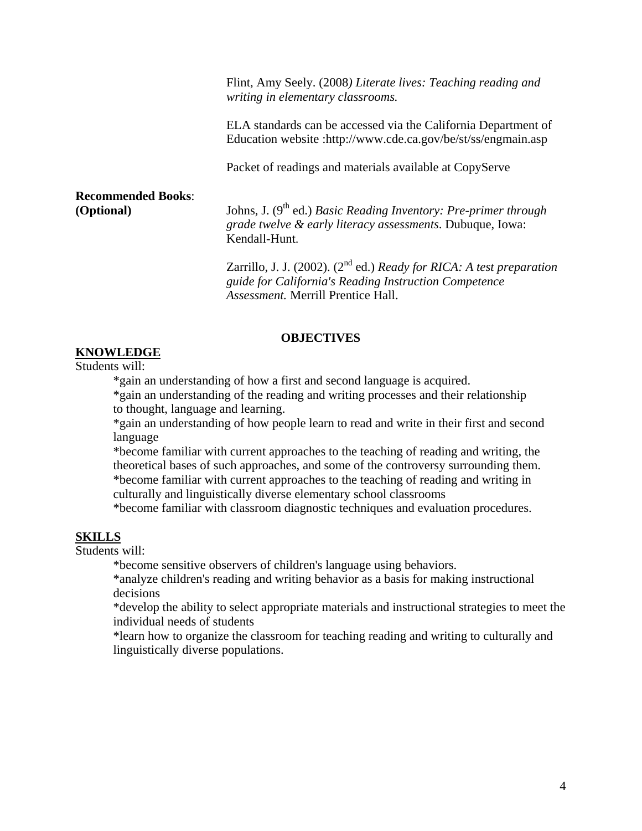Flint, Amy Seely. (2008*) Literate lives: Teaching reading and writing in elementary classrooms.*

ELA standards can be accessed via the California Department of Education website :http://www.cde.ca.gov/be/st/ss/engmain.asp

Packet of readings and materials available at CopyServe

**Recommended Books**:

**(Optional)** Johns, J. (9<sup>th</sup> ed.) *Basic Reading Inventory: Pre-primer through grade twelve & early literacy assessments*. Dubuque, Iowa: Kendall-Hunt.

> Zarrillo, J. J. (2002). (2nd ed.) *Ready for RICA: A test preparation guide for California's Reading Instruction Competence Assessment.* Merrill Prentice Hall.

#### **OBJECTIVES**

**KNOWLEDGE** Students will:

\*gain an understanding of how a first and second language is acquired.

 \*gain an understanding of the reading and writing processes and their relationship to thought, language and learning.

\*gain an understanding of how people learn to read and write in their first and second language

\*become familiar with current approaches to the teaching of reading and writing, the theoretical bases of such approaches, and some of the controversy surrounding them. \*become familiar with current approaches to the teaching of reading and writing in culturally and linguistically diverse elementary school classrooms

\*become familiar with classroom diagnostic techniques and evaluation procedures.

#### **SKILLS**

Students will:

\*become sensitive observers of children's language using behaviors.

\*analyze children's reading and writing behavior as a basis for making instructional decisions

\*develop the ability to select appropriate materials and instructional strategies to meet the individual needs of students

\*learn how to organize the classroom for teaching reading and writing to culturally and linguistically diverse populations.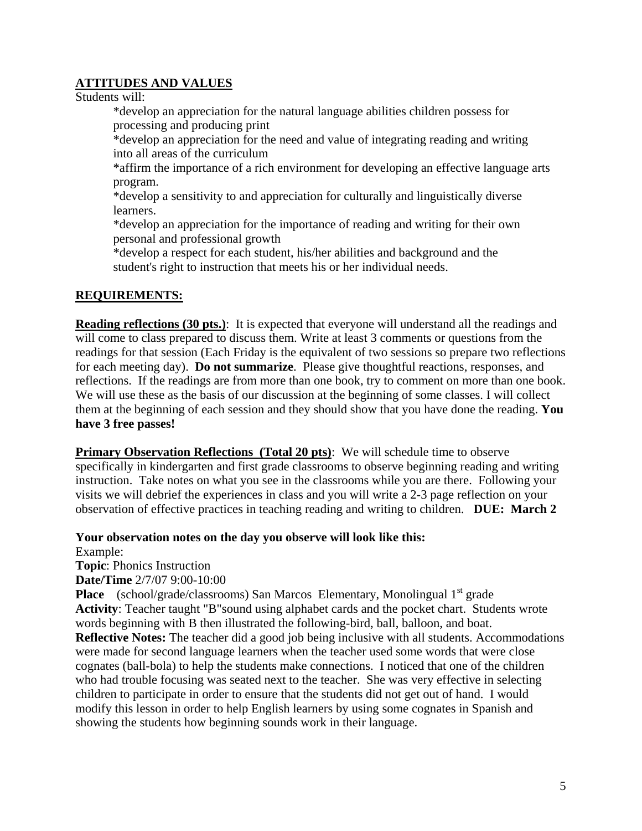## **ATTITUDES AND VALUES**

Students will:

 \*develop an appreciation for the natural language abilities children possess for processing and producing print

 \*develop an appreciation for the need and value of integrating reading and writing into all areas of the curriculum

\*affirm the importance of a rich environment for developing an effective language arts program.

 \*develop a sensitivity to and appreciation for culturally and linguistically diverse learners.

 \*develop an appreciation for the importance of reading and writing for their own personal and professional growth

 \*develop a respect for each student, his/her abilities and background and the student's right to instruction that meets his or her individual needs.

## **REQUIREMENTS:**

**Reading reflections (30 pts.)**: It is expected that everyone will understand all the readings and will come to class prepared to discuss them. Write at least 3 comments or questions from the readings for that session (Each Friday is the equivalent of two sessions so prepare two reflections for each meeting day). **Do not summarize**. Please give thoughtful reactions, responses, and reflections. If the readings are from more than one book, try to comment on more than one book. We will use these as the basis of our discussion at the beginning of some classes. I will collect them at the beginning of each session and they should show that you have done the reading. **You have 3 free passes!**

**Primary Observation Reflections (Total 20 pts):** We will schedule time to observe specifically in kindergarten and first grade classrooms to observe beginning reading and writing instruction. Take notes on what you see in the classrooms while you are there. Following your visits we will debrief the experiences in class and you will write a 2-3 page reflection on your observation of effective practices in teaching reading and writing to children. **DUE: March 2** 

**Your observation notes on the day you observe will look like this:** 

Example:

**Topic**: Phonics Instruction

**Date/Time** 2/7/07 9:00-10:00

**Place** (school/grade/classrooms) San Marcos Elementary, Monolingual 1<sup>st</sup> grade **Activity**: Teacher taught "B"sound using alphabet cards and the pocket chart. Students wrote words beginning with B then illustrated the following-bird, ball, balloon, and boat. **Reflective Notes:** The teacher did a good job being inclusive with all students. Accommodations were made for second language learners when the teacher used some words that were close cognates (ball-bola) to help the students make connections. I noticed that one of the children who had trouble focusing was seated next to the teacher. She was very effective in selecting children to participate in order to ensure that the students did not get out of hand. I would modify this lesson in order to help English learners by using some cognates in Spanish and showing the students how beginning sounds work in their language.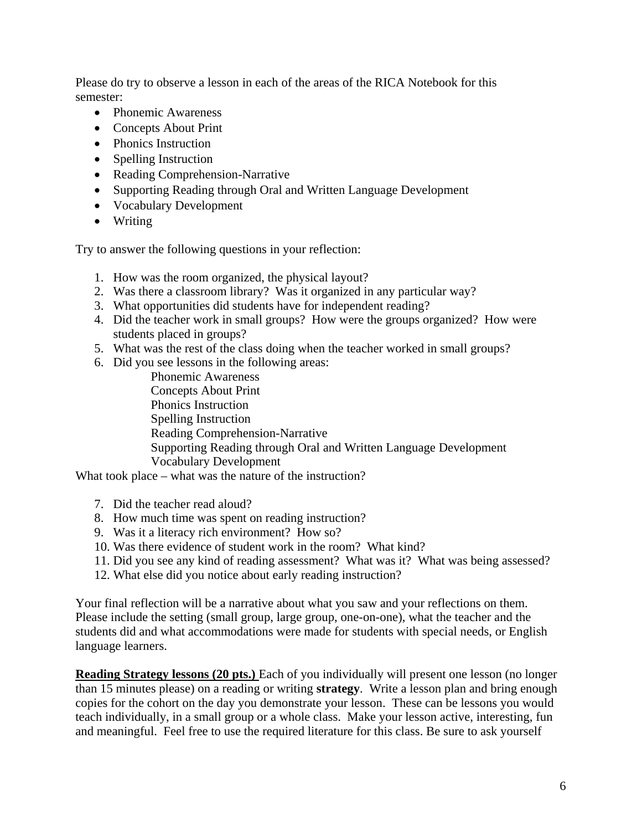Please do try to observe a lesson in each of the areas of the RICA Notebook for this semester:

- Phonemic Awareness
- Concepts About Print
- Phonics Instruction
- Spelling Instruction
- Reading Comprehension-Narrative
- Supporting Reading through Oral and Written Language Development
- Vocabulary Development
- Writing

Try to answer the following questions in your reflection:

- 1. How was the room organized, the physical layout?
- 2. Was there a classroom library? Was it organized in any particular way?
- 3. What opportunities did students have for independent reading?
- 4. Did the teacher work in small groups? How were the groups organized? How were students placed in groups?
- 5. What was the rest of the class doing when the teacher worked in small groups?
- 6. Did you see lessons in the following areas:

Phonemic Awareness Concepts About Print Phonics Instruction Spelling Instruction Reading Comprehension-Narrative Supporting Reading through Oral and Written Language Development Vocabulary Development

What took place – what was the nature of the instruction?

- 7. Did the teacher read aloud?
- 8. How much time was spent on reading instruction?
- 9. Was it a literacy rich environment? How so?
- 10. Was there evidence of student work in the room? What kind?
- 11. Did you see any kind of reading assessment? What was it? What was being assessed?
- 12. What else did you notice about early reading instruction?

Your final reflection will be a narrative about what you saw and your reflections on them. Please include the setting (small group, large group, one-on-one), what the teacher and the students did and what accommodations were made for students with special needs, or English language learners.

**Reading Strategy lessons (20 pts.)** Each of you individually will present one lesson (no longer than 15 minutes please) on a reading or writing **strategy**. Write a lesson plan and bring enough copies for the cohort on the day you demonstrate your lesson. These can be lessons you would teach individually, in a small group or a whole class. Make your lesson active, interesting, fun and meaningful. Feel free to use the required literature for this class. Be sure to ask yourself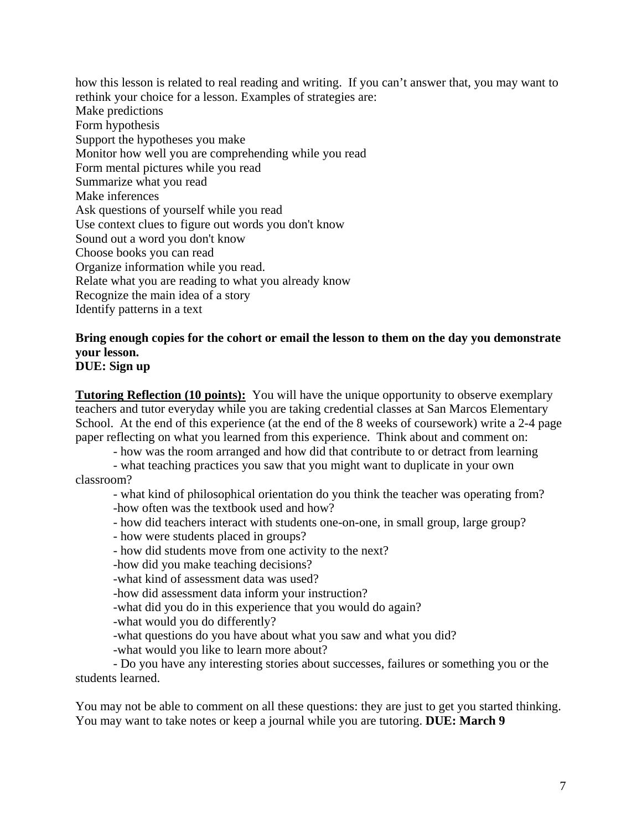how this lesson is related to real reading and writing. If you can't answer that, you may want to rethink your choice for a lesson. Examples of strategies are: Make predictions Form hypothesis Support the hypotheses you make Monitor how well you are comprehending while you read Form mental pictures while you read Summarize what you read Make inferences Ask questions of yourself while you read Use context clues to figure out words you don't know Sound out a word you don't know Choose books you can read Organize information while you read. Relate what you are reading to what you already know Recognize the main idea of a story Identify patterns in a text

# **Bring enough copies for the cohort or email the lesson to them on the day you demonstrate your lesson.**

# **DUE: Sign up**

**Tutoring Reflection (10 points):** You will have the unique opportunity to observe exemplary teachers and tutor everyday while you are taking credential classes at San Marcos Elementary School. At the end of this experience (at the end of the 8 weeks of coursework) write a 2-4 page paper reflecting on what you learned from this experience. Think about and comment on:

- how was the room arranged and how did that contribute to or detract from learning

- what teaching practices you saw that you might want to duplicate in your own classroom?

- what kind of philosophical orientation do you think the teacher was operating from? -how often was the textbook used and how?

- how did teachers interact with students one-on-one, in small group, large group?

- how were students placed in groups?

- how did students move from one activity to the next?

-how did you make teaching decisions?

-what kind of assessment data was used?

-how did assessment data inform your instruction?

-what did you do in this experience that you would do again?

-what would you do differently?

-what questions do you have about what you saw and what you did?

-what would you like to learn more about?

- Do you have any interesting stories about successes, failures or something you or the students learned.

You may not be able to comment on all these questions: they are just to get you started thinking. You may want to take notes or keep a journal while you are tutoring. **DUE: March 9**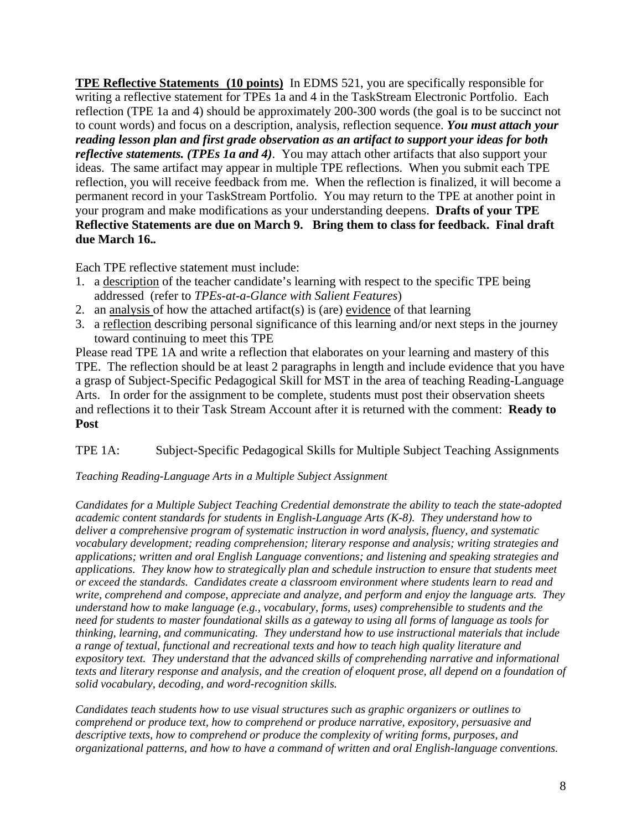**TPE Reflective Statements (10 points)** In EDMS 521, you are specifically responsible for writing a reflective statement for TPEs 1a and 4 in the TaskStream Electronic Portfolio. Each reflection (TPE 1a and 4) should be approximately 200-300 words (the goal is to be succinct not to count words) and focus on a description, analysis, reflection sequence. *You must attach your reading lesson plan and first grade observation as an artifact to support your ideas for both reflective statements. (TPEs 1a and 4)*. You may attach other artifacts that also support your ideas. The same artifact may appear in multiple TPE reflections. When you submit each TPE reflection, you will receive feedback from me. When the reflection is finalized, it will become a permanent record in your TaskStream Portfolio. You may return to the TPE at another point in your program and make modifications as your understanding deepens. **Drafts of your TPE Reflective Statements are due on March 9. Bring them to class for feedback. Final draft due March 16.***.* 

Each TPE reflective statement must include:

- 1. a description of the teacher candidate's learning with respect to the specific TPE being addressed (refer to *TPEs-at-a-Glance with Salient Features*)
- 2. an analysis of how the attached artifact(s) is (are) evidence of that learning
- 3. a reflection describing personal significance of this learning and/or next steps in the journey toward continuing to meet this TPE

Please read TPE 1A and write a reflection that elaborates on your learning and mastery of this TPE. The reflection should be at least 2 paragraphs in length and include evidence that you have a grasp of Subject-Specific Pedagogical Skill for MST in the area of teaching Reading-Language Arts. In order for the assignment to be complete, students must post their observation sheets and reflections it to their Task Stream Account after it is returned with the comment: **Ready to Post**

## TPE 1A: Subject-Specific Pedagogical Skills for Multiple Subject Teaching Assignments

#### *Teaching Reading-Language Arts in a Multiple Subject Assignment*

*Candidates for a Multiple Subject Teaching Credential demonstrate the ability to teach the state-adopted academic content standards for students in English-Language Arts (K-8). They understand how to deliver a comprehensive program of systematic instruction in word analysis, fluency, and systematic vocabulary development; reading comprehension; literary response and analysis; writing strategies and applications; written and oral English Language conventions; and listening and speaking strategies and applications. They know how to strategically plan and schedule instruction to ensure that students meet or exceed the standards. Candidates create a classroom environment where students learn to read and write, comprehend and compose, appreciate and analyze, and perform and enjoy the language arts. They understand how to make language (e.g., vocabulary, forms, uses) comprehensible to students and the need for students to master foundational skills as a gateway to using all forms of language as tools for thinking, learning, and communicating. They understand how to use instructional materials that include a range of textual, functional and recreational texts and how to teach high quality literature and expository text. They understand that the advanced skills of comprehending narrative and informational texts and literary response and analysis, and the creation of eloquent prose, all depend on a foundation of solid vocabulary, decoding, and word-recognition skills.* 

*Candidates teach students how to use visual structures such as graphic organizers or outlines to comprehend or produce text, how to comprehend or produce narrative, expository, persuasive and descriptive texts, how to comprehend or produce the complexity of writing forms, purposes, and organizational patterns, and how to have a command of written and oral English-language conventions.*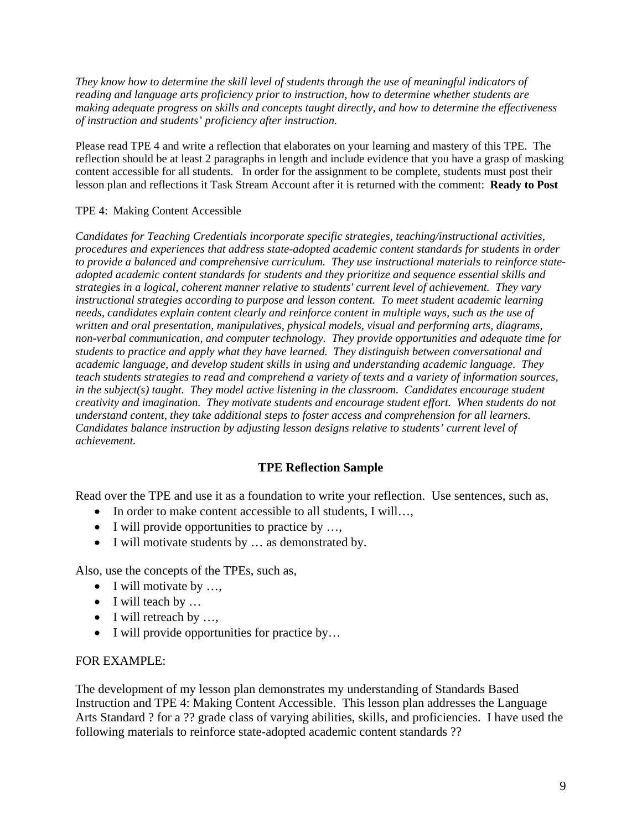*They know how to determine the skill level of students through the use of meaningful indicators of reading and language arts proficiency prior to instruction, how to determine whether students are making adequate progress on skills and concepts taught directly, and how to determine the effectiveness of instruction and students' proficiency after instruction.*

Please read TPE 4 and write a reflection that elaborates on your learning and mastery of this TPE. The reflection should be at least 2 paragraphs in length and include evidence that you have a grasp of masking content accessible for all students. In order for the assignment to be complete, students must post their lesson plan and reflections it Task Stream Account after it is returned with the comment: **Ready to Post**

#### TPE 4: Making Content Accessible

*Candidates for Teaching Credentials incorporate specific strategies, teaching/instructional activities, procedures and experiences that address state-adopted academic content standards for students in order to provide a balanced and comprehensive curriculum. They use instructional materials to reinforce stateadopted academic content standards for students and they prioritize and sequence essential skills and strategies in a logical, coherent manner relative to students' current level of achievement. They vary instructional strategies according to purpose and lesson content. To meet student academic learning needs, candidates explain content clearly and reinforce content in multiple ways, such as the use of written and oral presentation, manipulatives, physical models, visual and performing arts, diagrams, non-verbal communication, and computer technology. They provide opportunities and adequate time for students to practice and apply what they have learned. They distinguish between conversational and academic language, and develop student skills in using and understanding academic language. They teach students strategies to read and comprehend a variety of texts and a variety of information sources, in the subject(s) taught. They model active listening in the classroom. Candidates encourage student creativity and imagination. They motivate students and encourage student effort. When students do not understand content, they take additional steps to foster access and comprehension for all learners. Candidates balance instruction by adjusting lesson designs relative to students' current level of achievement.* 

#### **TPE Reflection Sample**

Read over the TPE and use it as a foundation to write your reflection. Use sentences, such as,

- In order to make content accessible to all students, I will...,
- I will provide opportunities to practice by ...,
- I will motivate students by ... as demonstrated by.

Also, use the concepts of the TPEs, such as,

- I will motivate by ...,
- I will teach by ...
- I will retreach by ...,
- I will provide opportunities for practice by...

#### FOR EXAMPLE:

The development of my lesson plan demonstrates my understanding of Standards Based Instruction and TPE 4: Making Content Accessible. This lesson plan addresses the Language Arts Standard ? for a ?? grade class of varying abilities, skills, and proficiencies. I have used the following materials to reinforce state-adopted academic content standards ??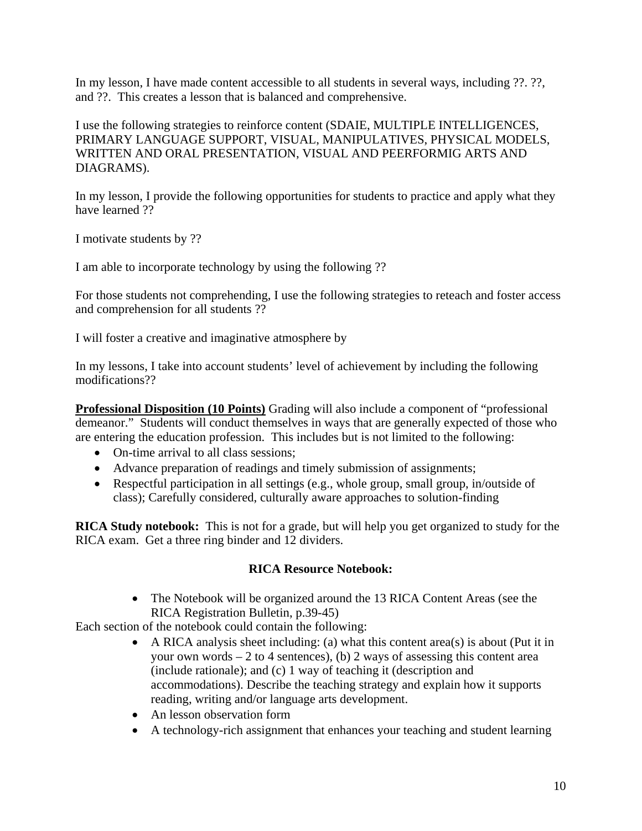In my lesson, I have made content accessible to all students in several ways, including ??. ??, and ??. This creates a lesson that is balanced and comprehensive.

I use the following strategies to reinforce content (SDAIE, MULTIPLE INTELLIGENCES, PRIMARY LANGUAGE SUPPORT, VISUAL, MANIPULATIVES, PHYSICAL MODELS, WRITTEN AND ORAL PRESENTATION, VISUAL AND PEERFORMIG ARTS AND DIAGRAMS).

In my lesson, I provide the following opportunities for students to practice and apply what they have learned ??

I motivate students by ??

I am able to incorporate technology by using the following ??

For those students not comprehending, I use the following strategies to reteach and foster access and comprehension for all students ??

I will foster a creative and imaginative atmosphere by

In my lessons, I take into account students' level of achievement by including the following modifications??

**Professional Disposition (10 Points)** Grading will also include a component of "professional" demeanor." Students will conduct themselves in ways that are generally expected of those who are entering the education profession. This includes but is not limited to the following:

- On-time arrival to all class sessions;
- Advance preparation of readings and timely submission of assignments;
- Respectful participation in all settings (e.g., whole group, small group, in/outside of class); Carefully considered, culturally aware approaches to solution-finding

**RICA Study notebook:** This is not for a grade, but will help you get organized to study for the RICA exam. Get a three ring binder and 12 dividers.

## **RICA Resource Notebook:**

• The Notebook will be organized around the 13 RICA Content Areas (see the RICA Registration Bulletin, p.39-45)

Each section of the notebook could contain the following:

- A RICA analysis sheet including: (a) what this content area(s) is about (Put it in your own words  $-2$  to 4 sentences), (b) 2 ways of assessing this content area (include rationale); and (c) 1 way of teaching it (description and accommodations). Describe the teaching strategy and explain how it supports reading, writing and/or language arts development.
- An lesson observation form
- A technology-rich assignment that enhances your teaching and student learning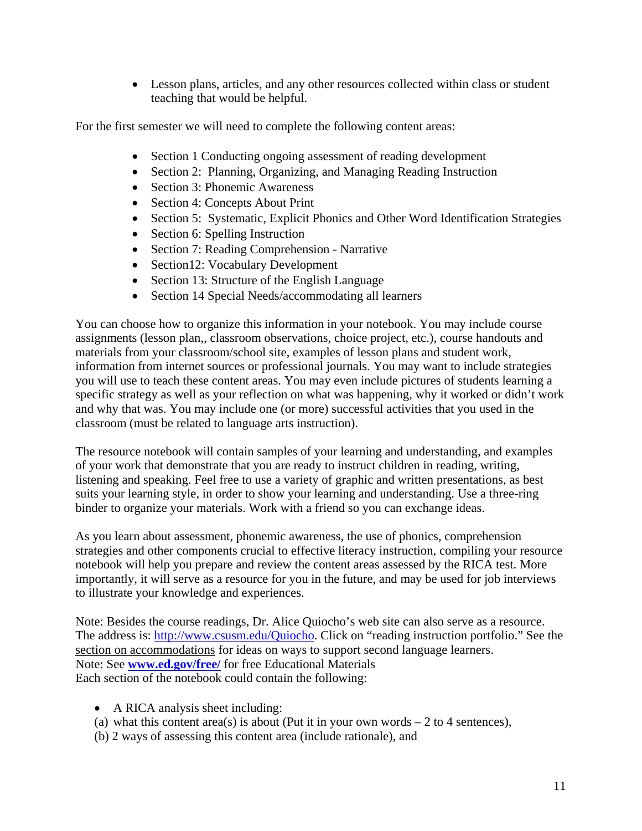• Lesson plans, articles, and any other resources collected within class or student teaching that would be helpful.

For the first semester we will need to complete the following content areas:

- Section 1 Conducting ongoing assessment of reading development
- Section 2: Planning, Organizing, and Managing Reading Instruction
- Section 3: Phonemic Awareness
- Section 4: Concepts About Print
- Section 5: Systematic, Explicit Phonics and Other Word Identification Strategies
- Section 6: Spelling Instruction
- Section 7: Reading Comprehension Narrative
- Section12: Vocabulary Development
- Section 13: Structure of the English Language
- Section 14 Special Needs/accommodating all learners

You can choose how to organize this information in your notebook. You may include course assignments (lesson plan,, classroom observations, choice project, etc.), course handouts and materials from your classroom/school site, examples of lesson plans and student work, information from internet sources or professional journals. You may want to include strategies you will use to teach these content areas. You may even include pictures of students learning a specific strategy as well as your reflection on what was happening, why it worked or didn't work and why that was. You may include one (or more) successful activities that you used in the classroom (must be related to language arts instruction).

The resource notebook will contain samples of your learning and understanding, and examples of your work that demonstrate that you are ready to instruct children in reading, writing, listening and speaking. Feel free to use a variety of graphic and written presentations, as best suits your learning style, in order to show your learning and understanding. Use a three-ring binder to organize your materials. Work with a friend so you can exchange ideas.

As you learn about assessment, phonemic awareness, the use of phonics, comprehension strategies and other components crucial to effective literacy instruction, compiling your resource notebook will help you prepare and review the content areas assessed by the RICA test. More importantly, it will serve as a resource for you in the future, and may be used for job interviews to illustrate your knowledge and experiences.

Note: Besides the course readings, Dr. Alice Quiocho's web site can also serve as a resource. The address is: http://www.csusm.edu/Quiocho. Click on "reading instruction portfolio." See the section on accommodations for ideas on ways to support second language learners. Note: See **www.ed.gov/free/** for free Educational Materials Each section of the notebook could contain the following:

- A RICA analysis sheet including:
- (a) what this content area(s) is about (Put it in your own words  $-2$  to 4 sentences),
- (b) 2 ways of assessing this content area (include rationale), and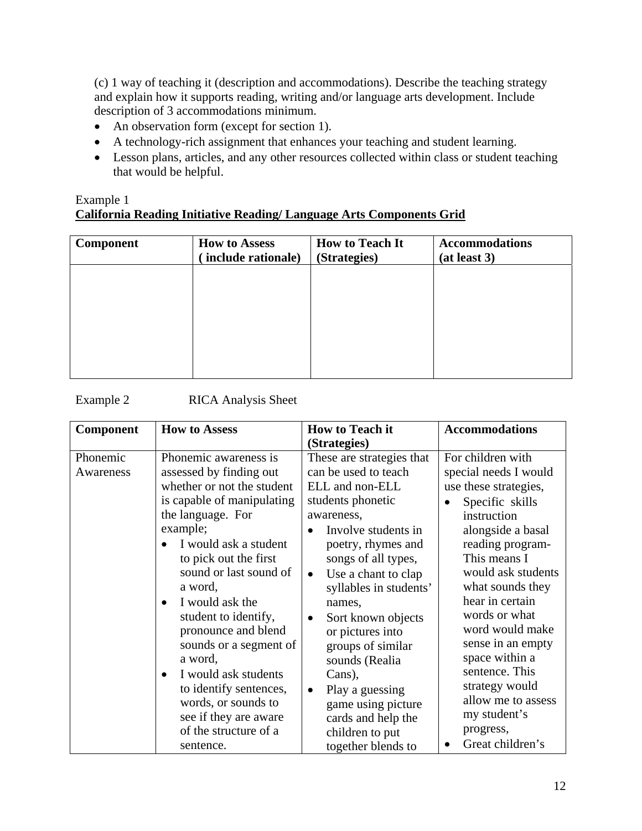(c) 1 way of teaching it (description and accommodations). Describe the teaching strategy and explain how it supports reading, writing and/or language arts development. Include description of 3 accommodations minimum.

- An observation form (except for section 1).
- A technology-rich assignment that enhances your teaching and student learning.
- Lesson plans, articles, and any other resources collected within class or student teaching that would be helpful.

## Example 1 **California Reading Initiative Reading/ Language Arts Components Grid**

| Component | <b>How to Assess</b><br>include rationale) | <b>How to Teach It</b><br>(Strategies) | <b>Accommodations</b><br>(at least 3) |
|-----------|--------------------------------------------|----------------------------------------|---------------------------------------|
|           |                                            |                                        |                                       |
|           |                                            |                                        |                                       |
|           |                                            |                                        |                                       |
|           |                                            |                                        |                                       |

| <b>Component</b>      | <b>How to Assess</b>                                                                                                                                                                                                                                                                                                                                                                                                                                                                             | <b>How to Teach it</b><br>(Strategies)                                                                                                                                                                                                                                                                                                                                                                                                                                           | <b>Accommodations</b>                                                                                                                                                                                                                                                                                                                                                                                                          |
|-----------------------|--------------------------------------------------------------------------------------------------------------------------------------------------------------------------------------------------------------------------------------------------------------------------------------------------------------------------------------------------------------------------------------------------------------------------------------------------------------------------------------------------|----------------------------------------------------------------------------------------------------------------------------------------------------------------------------------------------------------------------------------------------------------------------------------------------------------------------------------------------------------------------------------------------------------------------------------------------------------------------------------|--------------------------------------------------------------------------------------------------------------------------------------------------------------------------------------------------------------------------------------------------------------------------------------------------------------------------------------------------------------------------------------------------------------------------------|
| Phonemic<br>Awareness | Phonemic awareness is<br>assessed by finding out<br>whether or not the student<br>is capable of manipulating<br>the language. For<br>example;<br>I would ask a student<br>to pick out the first<br>sound or last sound of<br>a word,<br>I would ask the<br>student to identify,<br>pronounce and blend<br>sounds or a segment of<br>a word,<br>I would ask students<br>$\bullet$<br>to identify sentences,<br>words, or sounds to<br>see if they are aware<br>of the structure of a<br>sentence. | These are strategies that<br>can be used to teach<br>ELL and non-ELL<br>students phonetic<br>awareness,<br>Involve students in<br>poetry, rhymes and<br>songs of all types,<br>Use a chant to clap<br>$\bullet$<br>syllables in students'<br>names,<br>Sort known objects<br>$\bullet$<br>or pictures into<br>groups of similar<br>sounds (Realia<br>Cans),<br>Play a guessing<br>$\bullet$<br>game using picture<br>cards and help the<br>children to put<br>together blends to | For children with<br>special needs I would<br>use these strategies,<br>Specific skills<br>$\bullet$<br>instruction<br>alongside a basal<br>reading program-<br>This means I<br>would ask students<br>what sounds they<br>hear in certain<br>words or what<br>word would make<br>sense in an empty<br>space within a<br>sentence. This<br>strategy would<br>allow me to assess<br>my student's<br>progress,<br>Great children's |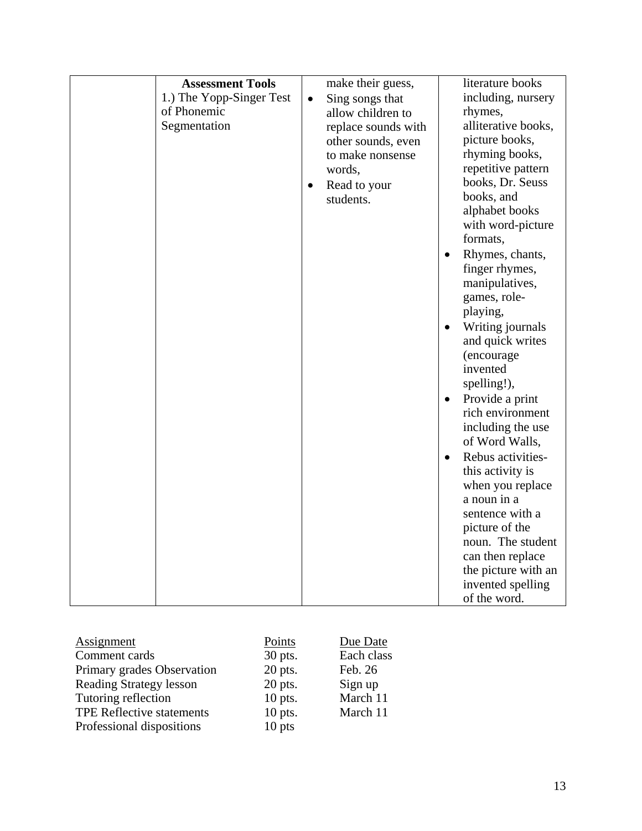| Assignment                     | Points    | Due Date   |
|--------------------------------|-----------|------------|
| Comment cards                  | 30 pts.   | Each class |
| Primary grades Observation     | 20 pts.   | Feb. 26    |
| <b>Reading Strategy lesson</b> | 20 pts.   | Sign up    |
| Tutoring reflection            | $10$ pts. | March 11   |
| TPE Reflective statements      | $10$ pts. | March 11   |
| Professional dispositions      | $10$ pts  |            |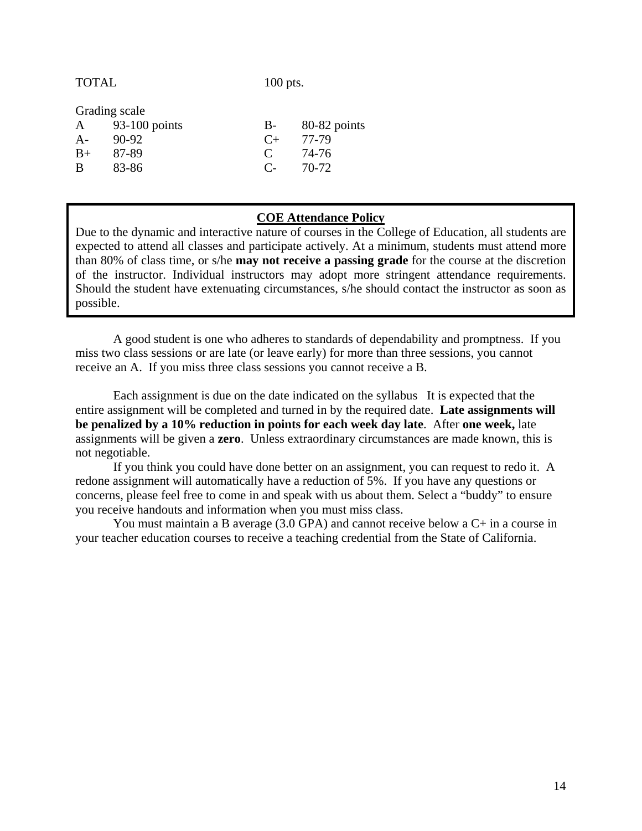TOTAL 100 pts.

Grading scale

| A    | 93-100 points | B-            | 80-82 points |
|------|---------------|---------------|--------------|
| A-   | 90-92         | $C_{\pm}$     | 77-79        |
| $B+$ | 87-89         | $\mathcal{C}$ | 74-76        |
| B    | 83-86         | $C_{\pm}$     | 70-72        |

#### **COE Attendance Policy**

Due to the dynamic and interactive nature of courses in the College of Education, all students are expected to attend all classes and participate actively. At a minimum, students must attend more than 80% of class time, or s/he **may not receive a passing grade** for the course at the discretion of the instructor. Individual instructors may adopt more stringent attendance requirements. Should the student have extenuating circumstances, s/he should contact the instructor as soon as possible.

A good student is one who adheres to standards of dependability and promptness. If you miss two class sessions or are late (or leave early) for more than three sessions, you cannot receive an A. If you miss three class sessions you cannot receive a B.

Each assignment is due on the date indicated on the syllabus It is expected that the entire assignment will be completed and turned in by the required date. **Late assignments will be penalized by a 10% reduction in points for each week day late**. After **one week,** late assignments will be given a **zero**. Unless extraordinary circumstances are made known, this is not negotiable.

 If you think you could have done better on an assignment, you can request to redo it. A redone assignment will automatically have a reduction of 5%. If you have any questions or concerns, please feel free to come in and speak with us about them. Select a "buddy" to ensure you receive handouts and information when you must miss class.

 You must maintain a B average (3.0 GPA) and cannot receive below a C+ in a course in your teacher education courses to receive a teaching credential from the State of California.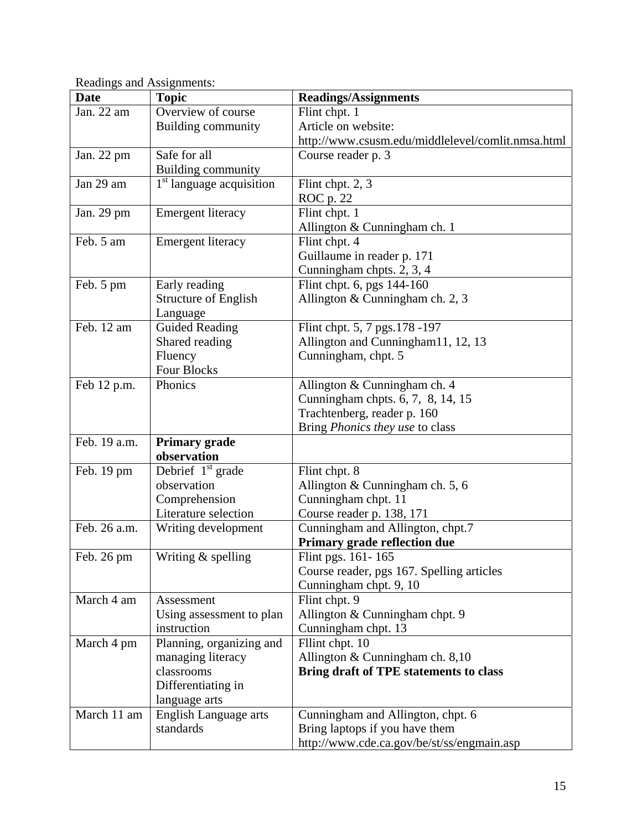| <b>Date</b>  | <b>Topic</b>                         | Readings/Assignments                              |
|--------------|--------------------------------------|---------------------------------------------------|
| Jan. 22 am   | Overview of course                   | Flint chpt. 1                                     |
|              | <b>Building community</b>            | Article on website:                               |
|              |                                      | http://www.csusm.edu/middlelevel/comlit.nmsa.html |
| Jan. 22 pm   | Safe for all                         | Course reader p. 3                                |
|              | <b>Building community</b>            |                                                   |
| Jan 29 am    | 1 <sup>st</sup> language acquisition | Flint chpt. 2, 3                                  |
|              |                                      | ROC p. 22                                         |
| Jan. 29 pm   | <b>Emergent literacy</b>             | Flint chpt. 1                                     |
|              |                                      | Allington & Cunningham ch. 1                      |
| Feb. 5 am    | Emergent literacy                    | Flint chpt. 4                                     |
|              |                                      | Guillaume in reader p. 171                        |
|              |                                      | Cunningham chpts. 2, 3, 4                         |
| Feb. 5 pm    | Early reading                        | Flint chpt. 6, pgs 144-160                        |
|              | <b>Structure of English</b>          | Allington & Cunningham ch. 2, 3                   |
|              | Language                             |                                                   |
| Feb. 12 am   | <b>Guided Reading</b>                | Flint chpt. 5, 7 pgs. 178 - 197                   |
|              | Shared reading                       | Allington and Cunningham11, 12, 13                |
|              | Fluency                              | Cunningham, chpt. 5                               |
|              | Four Blocks                          |                                                   |
| Feb 12 p.m.  | Phonics                              | Allington & Cunningham ch. 4                      |
|              |                                      | Cunningham chpts. 6, 7, 8, 14, 15                 |
|              |                                      | Trachtenberg, reader p. 160                       |
|              |                                      | Bring Phonics they use to class                   |
| Feb. 19 a.m. | <b>Primary grade</b>                 |                                                   |
|              | observation                          |                                                   |
| Feb. 19 pm   | Debrief $1st$ grade                  | Flint chpt. 8                                     |
|              | observation                          | Allington & Cunningham ch. 5, 6                   |
|              | Comprehension                        | Cunningham chpt. 11                               |
|              | Literature selection                 | Course reader p. 138, 171                         |
| Feb. 26 a.m. | Writing development                  | Cunningham and Allington, chpt.7                  |
|              |                                      | Primary grade reflection due                      |
| Feb. 26 pm   | Writing & spelling                   | Flint pgs. 161-165                                |
|              |                                      | Course reader, pgs 167. Spelling articles         |
|              |                                      | Cunningham chpt. 9, 10                            |
| March 4 am   | Assessment                           | Flint chpt. 9                                     |
|              | Using assessment to plan             | Allington & Cunningham chpt. 9                    |
|              | instruction                          | Cunningham chpt. 13                               |
| March 4 pm   | Planning, organizing and             | Fllint chpt. 10                                   |
|              | managing literacy                    | Allington & Cunningham ch. 8,10                   |
|              | classrooms                           | Bring draft of TPE statements to class            |
|              | Differentiating in                   |                                                   |
|              | language arts                        |                                                   |
| March 11 am  | <b>English Language arts</b>         | Cunningham and Allington, chpt. 6                 |
|              | standards                            | Bring laptops if you have them                    |
|              |                                      | http://www.cde.ca.gov/be/st/ss/engmain.asp        |

Readings and Assignments: